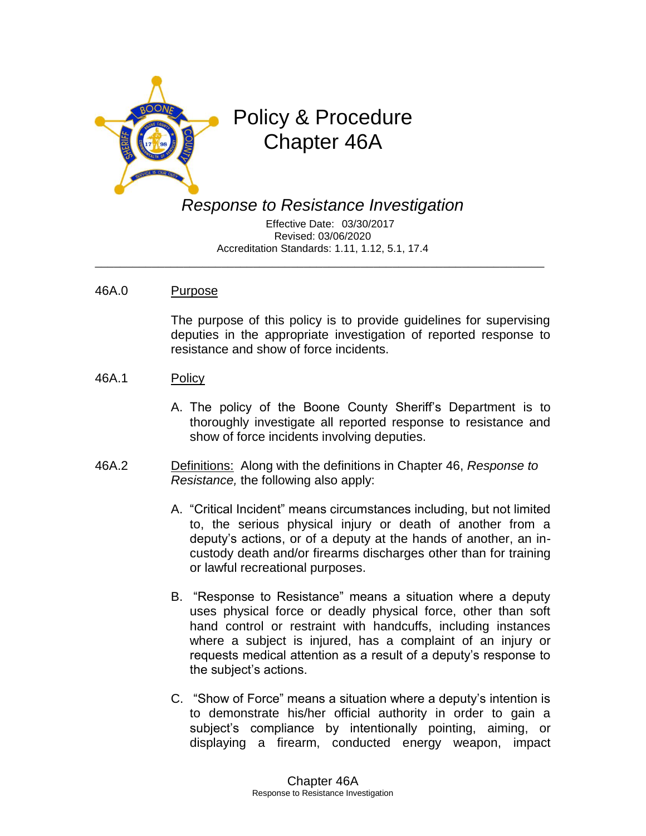

## Policy & Procedure Chapter 46A

*Response to Resistance Investigation*

 Effective Date: 03/30/2017 Revised: 03/06/2020 Accreditation Standards: 1.11, 1.12, 5.1, 17.4

\_\_\_\_\_\_\_\_\_\_\_\_\_\_\_\_\_\_\_\_\_\_\_\_\_\_\_\_\_\_\_\_\_\_\_\_\_\_\_\_\_\_\_\_\_\_\_\_\_\_\_\_\_\_\_\_\_\_\_\_\_\_\_\_\_\_\_\_\_\_\_

## 46A.0 Purpose

The purpose of this policy is to provide guidelines for supervising deputies in the appropriate investigation of reported response to resistance and show of force incidents.

- 46A.1 Policy
	- A. The policy of the Boone County Sheriff's Department is to thoroughly investigate all reported response to resistance and show of force incidents involving deputies.
- 46A.2 Definitions: Along with the definitions in Chapter 46, *Response to Resistance,* the following also apply:
	- A. "Critical Incident" means circumstances including, but not limited to, the serious physical injury or death of another from a deputy's actions, or of a deputy at the hands of another, an incustody death and/or firearms discharges other than for training or lawful recreational purposes.
	- B. "Response to Resistance" means a situation where a deputy uses physical force or deadly physical force, other than soft hand control or restraint with handcuffs, including instances where a subject is injured, has a complaint of an injury or requests medical attention as a result of a deputy's response to the subject's actions.
	- C. "Show of Force" means a situation where a deputy's intention is to demonstrate his/her official authority in order to gain a subject's compliance by intentionally pointing, aiming, or displaying a firearm, conducted energy weapon, impact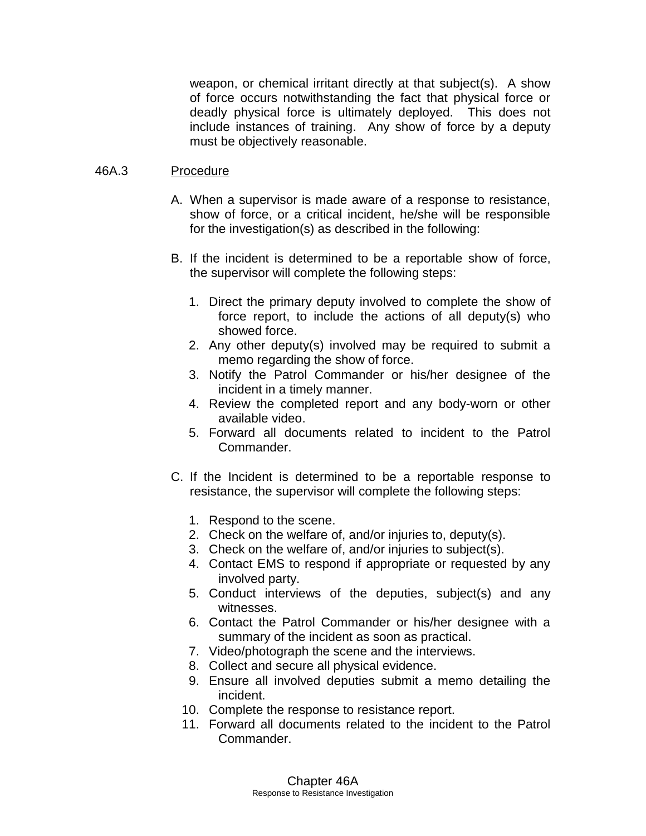weapon, or chemical irritant directly at that subject(s). A show of force occurs notwithstanding the fact that physical force or deadly physical force is ultimately deployed. This does not include instances of training. Any show of force by a deputy must be objectively reasonable.

## 46A.3 Procedure

- A. When a supervisor is made aware of a response to resistance, show of force, or a critical incident, he/she will be responsible for the investigation(s) as described in the following:
- B. If the incident is determined to be a reportable show of force, the supervisor will complete the following steps:
	- 1. Direct the primary deputy involved to complete the show of force report, to include the actions of all deputy(s) who showed force.
	- 2. Any other deputy(s) involved may be required to submit a memo regarding the show of force.
	- 3. Notify the Patrol Commander or his/her designee of the incident in a timely manner.
	- 4. Review the completed report and any body-worn or other available video.
	- 5. Forward all documents related to incident to the Patrol Commander.
- C. If the Incident is determined to be a reportable response to resistance, the supervisor will complete the following steps:
	- 1. Respond to the scene.
	- 2. Check on the welfare of, and/or injuries to, deputy(s).
	- 3. Check on the welfare of, and/or injuries to subject(s).
	- 4. Contact EMS to respond if appropriate or requested by any involved party.
	- 5. Conduct interviews of the deputies, subject(s) and any witnesses.
	- 6. Contact the Patrol Commander or his/her designee with a summary of the incident as soon as practical.
	- 7. Video/photograph the scene and the interviews.
	- 8. Collect and secure all physical evidence.
	- 9. Ensure all involved deputies submit a memo detailing the incident.
	- 10. Complete the response to resistance report.
	- 11. Forward all documents related to the incident to the Patrol Commander.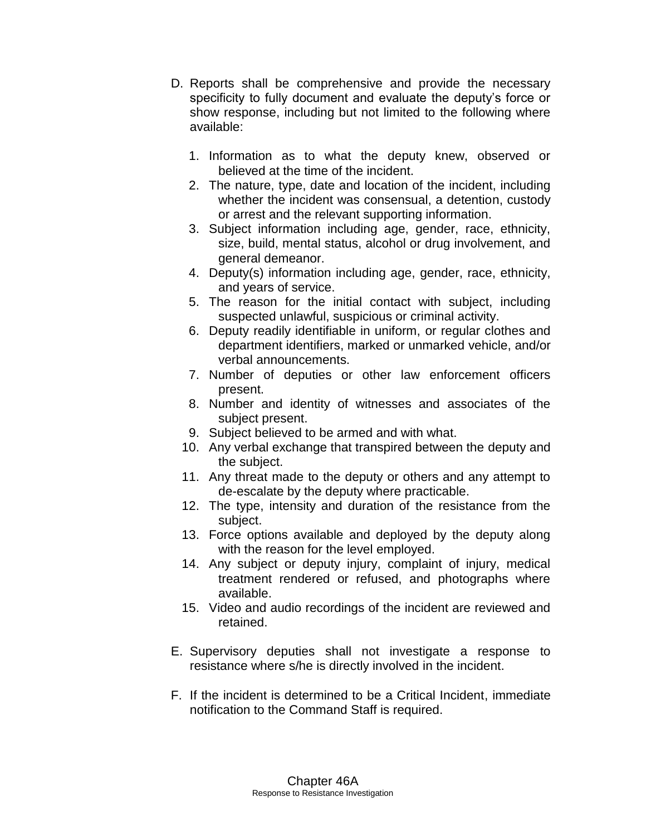- D. Reports shall be comprehensive and provide the necessary specificity to fully document and evaluate the deputy's force or show response, including but not limited to the following where available:
	- 1. Information as to what the deputy knew, observed or believed at the time of the incident.
	- 2. The nature, type, date and location of the incident, including whether the incident was consensual, a detention, custody or arrest and the relevant supporting information.
	- 3. Subject information including age, gender, race, ethnicity, size, build, mental status, alcohol or drug involvement, and general demeanor.
	- 4. Deputy(s) information including age, gender, race, ethnicity, and years of service.
	- 5. The reason for the initial contact with subject, including suspected unlawful, suspicious or criminal activity.
	- 6. Deputy readily identifiable in uniform, or regular clothes and department identifiers, marked or unmarked vehicle, and/or verbal announcements.
	- 7. Number of deputies or other law enforcement officers present.
	- 8. Number and identity of witnesses and associates of the subject present.
	- 9. Subject believed to be armed and with what.
	- 10. Any verbal exchange that transpired between the deputy and the subject.
	- 11. Any threat made to the deputy or others and any attempt to de-escalate by the deputy where practicable.
	- 12. The type, intensity and duration of the resistance from the subject.
	- 13. Force options available and deployed by the deputy along with the reason for the level employed.
	- 14. Any subject or deputy injury, complaint of injury, medical treatment rendered or refused, and photographs where available.
	- 15. Video and audio recordings of the incident are reviewed and retained.
- E. Supervisory deputies shall not investigate a response to resistance where s/he is directly involved in the incident.
- F. If the incident is determined to be a Critical Incident, immediate notification to the Command Staff is required.